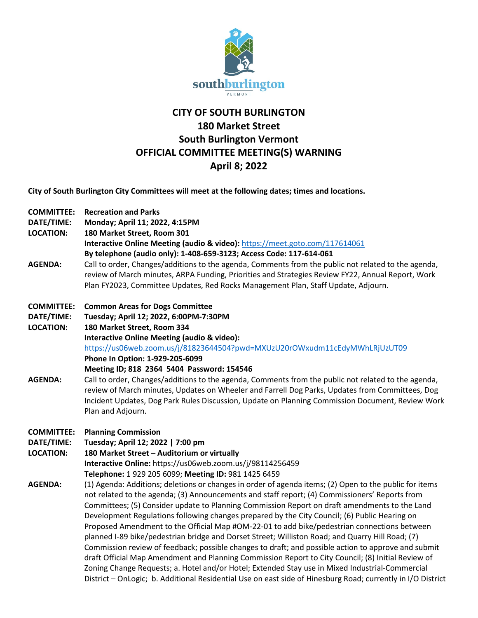

# **CITY OF SOUTH BURLINGTON 180 Market Street South Burlington Vermont OFFICIAL COMMITTEE MEETING(S) WARNING April 8; 2022**

**City of South Burlington City Committees will meet at the following dates; times and locations.** 

**COMMITTEE: Recreation and Parks**

**DATE/TIME: Monday; April 11; 2022, 4:15PM**

**LOCATION: 180 Market Street, Room 301** 

**Interactive Online Meeting (audio & video):** <https://meet.goto.com/117614061>

- **By telephone (audio only): 1-408-659-3123; Access Code: 117-614-061**
- **AGENDA:** Call to order, Changes/additions to the agenda, Comments from the public not related to the agenda, review of March minutes, ARPA Funding, Priorities and Strategies Review FY22, Annual Report, Work Plan FY2023, Committee Updates, Red Rocks Management Plan, Staff Update, Adjourn.

#### **COMMITTEE: Common Areas for Dogs Committee**

**DATE/TIME: Tuesday; April 12; 2022, 6:00PM-7:30PM**

**LOCATION: 180 Market Street, Room 334 Interactive Online Meeting (audio & video):** <https://us06web.zoom.us/j/81823644504?pwd=MXUzU20rOWxudm11cEdyMWhLRjUzUT09> **Phone In Option: 1-929-205-6099**

**Meeting ID; 818 2364 5404 Password: 154546**

**AGENDA:** Call to order, Changes/additions to the agenda, Comments from the public not related to the agenda, review of March minutes, Updates on Wheeler and Farrell Dog Parks, Updates from Committees, Dog Incident Updates, Dog Park Rules Discussion, Update on Planning Commission Document, Review Work Plan and Adjourn.

**COMMITTEE: Planning Commission**

- **DATE/TIME: Tuesday; April 12; 2022 | 7:00 pm**
- **LOCATION: 180 Market Street – Auditorium or virtually**

**Interactive Online:** https://us06web.zoom.us/j/98114256459

- **Telephone:** 1 929 205 6099; **Meeting ID:** 981 1425 6459
- **AGENDA:** (1) Agenda: Additions; deletions or changes in order of agenda items; (2) Open to the public for items not related to the agenda; (3) Announcements and staff report; (4) Commissioners' Reports from Committees; (5) Consider update to Planning Commission Report on draft amendments to the Land Development Regulations following changes prepared by the City Council; (6) Public Hearing on Proposed Amendment to the Official Map #OM-22-01 to add bike/pedestrian connections between planned I-89 bike/pedestrian bridge and Dorset Street; Williston Road; and Quarry Hill Road; (7) Commission review of feedback; possible changes to draft; and possible action to approve and submit draft Official Map Amendment and Planning Commission Report to City Council; (8) Initial Review of Zoning Change Requests; a. Hotel and/or Hotel; Extended Stay use in Mixed Industrial-Commercial District – OnLogic; b. Additional Residential Use on east side of Hinesburg Road; currently in I/O District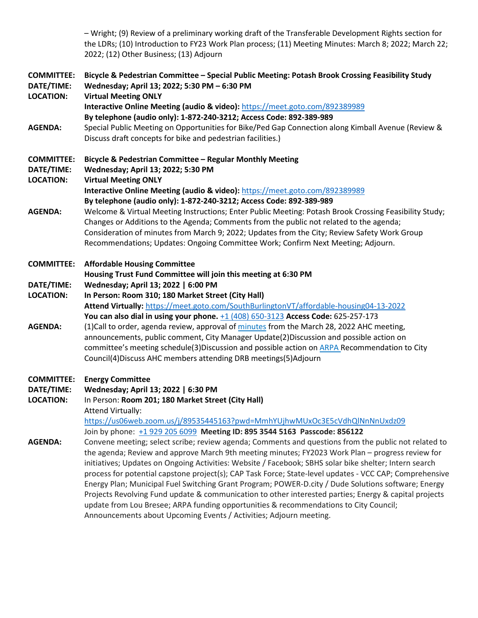– Wright; (9) Review of a preliminary working draft of the Transferable Development Rights section for the LDRs; (10) Introduction to FY23 Work Plan process; (11) Meeting Minutes: March 8; 2022; March 22; 2022; (12) Other Business; (13) Adjourn

| <b>COMMITTEE:</b><br>DATE/TIME:<br><b>LOCATION:</b> | Bicycle & Pedestrian Committee - Special Public Meeting: Potash Brook Crossing Feasibility Study<br>Wednesday; April 13; 2022; 5:30 PM - 6:30 PM<br><b>Virtual Meeting ONLY</b>                                                                                                                                                                                                       |
|-----------------------------------------------------|---------------------------------------------------------------------------------------------------------------------------------------------------------------------------------------------------------------------------------------------------------------------------------------------------------------------------------------------------------------------------------------|
|                                                     | Interactive Online Meeting (audio & video): https://meet.goto.com/892389989                                                                                                                                                                                                                                                                                                           |
|                                                     | By telephone (audio only): 1-872-240-3212; Access Code: 892-389-989                                                                                                                                                                                                                                                                                                                   |
| <b>AGENDA:</b>                                      | Special Public Meeting on Opportunities for Bike/Ped Gap Connection along Kimball Avenue (Review &<br>Discuss draft concepts for bike and pedestrian facilities.)                                                                                                                                                                                                                     |
| <b>COMMITTEE:</b><br>DATE/TIME:<br><b>LOCATION:</b> | Bicycle & Pedestrian Committee - Regular Monthly Meeting<br>Wednesday; April 13; 2022; 5:30 PM                                                                                                                                                                                                                                                                                        |
|                                                     | <b>Virtual Meeting ONLY</b>                                                                                                                                                                                                                                                                                                                                                           |
|                                                     | Interactive Online Meeting (audio & video): https://meet.goto.com/892389989                                                                                                                                                                                                                                                                                                           |
|                                                     | By telephone (audio only): 1-872-240-3212; Access Code: 892-389-989                                                                                                                                                                                                                                                                                                                   |
| <b>AGENDA:</b>                                      | Welcome & Virtual Meeting Instructions; Enter Public Meeting: Potash Brook Crossing Feasibility Study;<br>Changes or Additions to the Agenda; Comments from the public not related to the agenda;<br>Consideration of minutes from March 9; 2022; Updates from the City; Review Safety Work Group<br>Recommendations; Updates: Ongoing Committee Work; Confirm Next Meeting; Adjourn. |
| <b>COMMITTEE:</b>                                   | <b>Affordable Housing Committee</b>                                                                                                                                                                                                                                                                                                                                                   |
|                                                     | Housing Trust Fund Committee will join this meeting at 6:30 PM                                                                                                                                                                                                                                                                                                                        |
| DATE/TIME:                                          | Wednesday; April 13; 2022   6:00 PM                                                                                                                                                                                                                                                                                                                                                   |
| <b>LOCATION:</b>                                    | In Person: Room 310; 180 Market Street (City Hall)                                                                                                                                                                                                                                                                                                                                    |
|                                                     | Attend Virtually: https://meet.goto.com/SouthBurlingtonVT/affordable-housing04-13-2022                                                                                                                                                                                                                                                                                                |
|                                                     | You can also dial in using your phone. +1 (408) 650-3123 Access Code: 625-257-173                                                                                                                                                                                                                                                                                                     |
| <b>AGENDA:</b>                                      | (1) Call to order, agenda review, approval of minutes from the March 28, 2022 AHC meeting,                                                                                                                                                                                                                                                                                            |
|                                                     | announcements, public comment, City Manager Update(2)Discussion and possible action on                                                                                                                                                                                                                                                                                                |
|                                                     | committee's meeting schedule(3)Discussion and possible action on ARPA Recommendation to City                                                                                                                                                                                                                                                                                          |
|                                                     | Council(4) Discuss AHC members attending DRB meetings(5) Adjourn                                                                                                                                                                                                                                                                                                                      |
| <b>COMMITTEE:</b>                                   | <b>Energy Committee</b>                                                                                                                                                                                                                                                                                                                                                               |
| DATE/TIME:                                          | Wednesday; April 13; 2022   6:30 PM                                                                                                                                                                                                                                                                                                                                                   |
| <b>LOCATION:</b>                                    | In Person: Room 201; 180 Market Street (City Hall)                                                                                                                                                                                                                                                                                                                                    |
|                                                     | Attend Virtually:                                                                                                                                                                                                                                                                                                                                                                     |
|                                                     | https://us06web.zoom.us/j/89535445163?pwd=MmhYUjhwMUxOc3E5cVdhQlNnNnUxdz09                                                                                                                                                                                                                                                                                                            |
|                                                     | Join by phone: +1 929 205 6099 Meeting ID: 895 3544 5163 Passcode: 856122                                                                                                                                                                                                                                                                                                             |
| <b>AGENDA:</b>                                      | Convene meeting; select scribe; review agenda; Comments and questions from the public not related to                                                                                                                                                                                                                                                                                  |
|                                                     | the agenda; Review and approve March 9th meeting minutes; FY2023 Work Plan - progress review for                                                                                                                                                                                                                                                                                      |
|                                                     | initiatives; Updates on Ongoing Activities: Website / Facebook; SBHS solar bike shelter; Intern search                                                                                                                                                                                                                                                                                |
|                                                     | process for potential capstone project(s); CAP Task Force; State-level updates - VCC CAP; Comprehensive                                                                                                                                                                                                                                                                               |
|                                                     | Energy Plan; Municipal Fuel Switching Grant Program; POWER-D.city / Dude Solutions software; Energy                                                                                                                                                                                                                                                                                   |
|                                                     | Projects Revolving Fund update & communication to other interested parties; Energy & capital projects<br>update from Lou Bresee; ARPA funding opportunities & recommendations to City Council;                                                                                                                                                                                        |
|                                                     | Announcements about Upcoming Events / Activities; Adjourn meeting.                                                                                                                                                                                                                                                                                                                    |